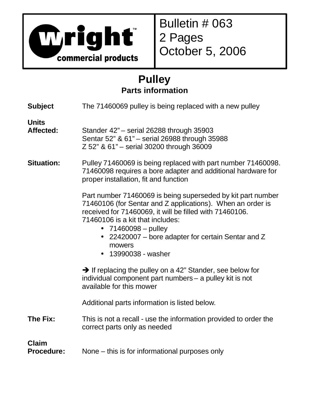

Bulletin # 063 2 Pages October 5, 2006

## **Pulley Parts information**

| <b>Subject</b>                    | The 71460069 pulley is being replaced with a new pulley                                                                                                                                                                                                                                                                                |  |  |
|-----------------------------------|----------------------------------------------------------------------------------------------------------------------------------------------------------------------------------------------------------------------------------------------------------------------------------------------------------------------------------------|--|--|
| <b>Units</b><br>Affected:         | Stander 42" - serial 26288 through 35903<br>Sentar 52" & 61" - serial 26988 through 35988<br>Z 52" & 61" - serial 30200 through 36009                                                                                                                                                                                                  |  |  |
| <b>Situation:</b>                 | Pulley 71460069 is being replaced with part number 71460098.<br>71460098 requires a bore adapter and additional hardware for<br>proper installation, fit and function                                                                                                                                                                  |  |  |
|                                   | Part number 71460069 is being superseded by kit part number<br>71460106 (for Sentar and Z applications). When an order is<br>received for 71460069, it will be filled with 71460106.<br>71460106 is a kit that includes:<br>• $71460098 - pulley$<br>22420007 – bore adapter for certain Sentar and Z<br>mowers<br>• 13990038 - washer |  |  |
|                                   | $\rightarrow$ If replacing the pulley on a 42" Stander, see below for<br>individual component part numbers - a pulley kit is not<br>available for this mower                                                                                                                                                                           |  |  |
|                                   | Additional parts information is listed below.                                                                                                                                                                                                                                                                                          |  |  |
| The Fix:                          | This is not a recall - use the information provided to order the<br>correct parts only as needed                                                                                                                                                                                                                                       |  |  |
| <b>Claim</b><br><b>Procedure:</b> | None – this is for informational purposes only                                                                                                                                                                                                                                                                                         |  |  |